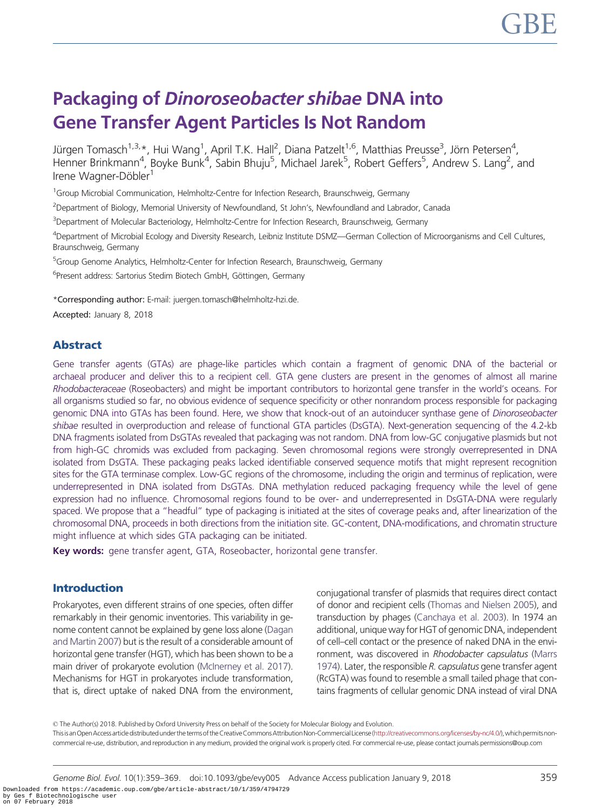# Packaging of Dinoroseobacter shibae DNA into Gene Transfer Agent Particles Is Not Random

Jürgen Tomasch<sup>1,3,</sup>\*, Hui Wang<sup>1</sup>, April T.K. Hall<sup>2</sup>, Diana Patzelt<sup>1,6</sup>, Matthias Preusse<sup>3</sup>, Jörn Petersen<sup>4</sup>, Henner Brinkmann<sup>4</sup>, Boyke Bunk<sup>4</sup>, Sabin Bhuju<sup>5</sup>, Michael Jarek<sup>5</sup>, Robert Geffers<sup>5</sup>, Andrew S. Lang<sup>2</sup>, and Irene Wagner-Döbler<sup>1</sup>

<sup>1</sup> Group Microbial Communication, Helmholtz-Centre for Infection Research, Braunschweig, Germany

2 Department of Biology, Memorial University of Newfoundland, St John's, Newfoundland and Labrador, Canada

<sup>3</sup>Department of Molecular Bacteriology, Helmholtz-Centre for Infection Research, Braunschweig, Germany

4 Department of Microbial Ecology and Diversity Research, Leibniz Institute DSMZ—German Collection of Microorganisms and Cell Cultures, Braunschweig, Germany

<sup>5</sup>Group Genome Analytics, Helmholtz-Center for Infection Research, Braunschweig, Germany

<sup>6</sup>Present address: Sartorius Stedim Biotech GmbH, Göttingen, Germany

\*Corresponding author: E-mail: juergen.tomasch@helmholtz-hzi.de.

Accepted: January 8, 2018

# Abstract

Gene transfer agents (GTAs) are phage-like particles which contain a fragment of genomic DNA of the bacterial or archaeal producer and deliver this to a recipient cell. GTA gene clusters are present in the genomes of almost all marine Rhodobacteraceae (Roseobacters) and might be important contributors to horizontal gene transfer in the world's oceans. For all organisms studied so far, no obvious evidence of sequence specificity or other nonrandom process responsible for packaging genomic DNA into GTAs has been found. Here, we show that knock-out of an autoinducer synthase gene of Dinoroseobacter shibae resulted in overproduction and release of functional GTA particles (DsGTA). Next-generation sequencing of the 4.2-kb DNA fragments isolated from DsGTAs revealed that packaging was not random. DNA from low-GC conjugative plasmids but not from high-GC chromids was excluded from packaging. Seven chromosomal regions were strongly overrepresented in DNA isolated from DsGTA. These packaging peaks lacked identifiable conserved sequence motifs that might represent recognition sites for the GTA terminase complex. Low-GC regions of the chromosome, including the origin and terminus of replication, were underrepresented in DNA isolated from DsGTAs. DNA methylation reduced packaging frequency while the level of gene expression had no influence. Chromosomal regions found to be over- and underrepresented in DsGTA-DNA were regularly spaced. We propose that a "headful" type of packaging is initiated at the sites of coverage peaks and, after linearization of the chromosomal DNA, proceeds in both directions from the initiation site. GC-content, DNA-modifications, and chromatin structure might influence at which sides GTA packaging can be initiated.

Key words: gene transfer agent, GTA, Roseobacter, horizontal gene transfer.

# Introduction

Prokaryotes, even different strains of one species, often differ remarkably in their genomic inventories. This variability in genome content cannot be explained by gene loss alone [\(Dagan](#page-9-0) [and Martin 2007](#page-9-0)) but is the result of a considerable amount of horizontal gene transfer (HGT), which has been shown to be a main driver of prokaryote evolution [\(McInerney et al. 2017](#page-10-0)). Mechanisms for HGT in prokaryotes include transformation, that is, direct uptake of naked DNA from the environment, conjugational transfer of plasmids that requires direct contact of donor and recipient cells [\(Thomas and Nielsen 2005](#page-10-0)), and transduction by phages [\(Canchaya et al. 2003\)](#page-9-0). In 1974 an additional, unique way for HGT of genomic DNA, independent of cell–cell contact or the presence of naked DNA in the environment, was discovered in Rhodobacter capsulatus ([Marrs](#page-10-0) [1974\)](#page-10-0). Later, the responsible *. capsulatus gene transfer agent* (RcGTA) was found to resemble a small tailed phage that contains fragments of cellular genomic DNA instead of viral DNA

© The Author(s) 2018. Published by Oxford University Press on behalf of the Society for Molecular Biology and Evolution. Thisis an Open Accessarticle distributed under the terms of the Creative Commons Attribution Non-Commercial License [\(http://creativecommons.org/licenses/by-nc/4.0/\)](http://creativecommons.org/licenses/by-nc/4.0/), which permits noncommercial re-use, distribution, and reproduction in any medium, provided the original work is properly cited. For commercial re-use, please contact journals.permissions@oup.com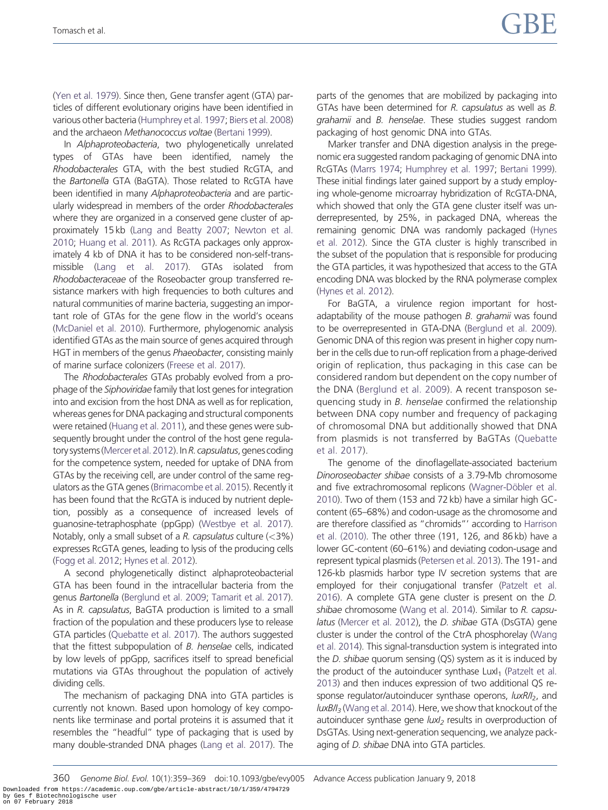[\(Yen et al. 1979\)](#page-10-0). Since then, Gene transfer agent (GTA) particles of different evolutionary origins have been identified in various other bacteria [\(Humphrey et al. 1997;](#page-9-0) [Biers et al. 2008\)](#page-9-0) and the archaeon Methanococcus voltae [\(Bertani 1999](#page-9-0)).

In Alphaproteobacteria, two phylogenetically unrelated types of GTAs have been identified, namely the Rhodobacterales GTA, with the best studied RcGTA, and the Bartonella GTA (BaGTA). Those related to RcGTA have been identified in many Alphaproteobacteria and are particularly widespread in members of the order Rhodobacterales where they are organized in a conserved gene cluster of approximately 15 kb [\(Lang and Beatty 2007;](#page-10-0) [Newton et al.](#page-10-0) [2010](#page-10-0); [Huang et al. 2011](#page-9-0)). As RcGTA packages only approximately 4 kb of DNA it has to be considered non-self-transmissible ([Lang et al. 2017\)](#page-10-0). GTAs isolated from Rhodobacteraceae of the Roseobacter group transferred resistance markers with high frequencies to both cultures and natural communities of marine bacteria, suggesting an important role of GTAs for the gene flow in the world's oceans [\(McDaniel et al. 2010\)](#page-10-0). Furthermore, phylogenomic analysis identified GTAs as the main source of genes acquired through HGT in members of the genus Phaeobacter, consisting mainly of marine surface colonizers [\(Freese et al. 2017\)](#page-9-0).

The Rhodobacterales GTAs probably evolved from a prophage of the Siphoviridae family that lost genes for integration into and excision from the host DNA as well as for replication, whereas genes for DNA packaging and structural components were retained [\(Huang et al. 2011](#page-9-0)), and these genes were subsequently brought under the control of the host gene regulatory systems (Mercer et al. 2012). In R. capsulatus, genes coding for the competence system, needed for uptake of DNA from GTAs by the receiving cell, are under control of the same regulators as the GTA genes [\(Brimacombe et al. 2015](#page-9-0)). Recently it has been found that the RcGTA is induced by nutrient depletion, possibly as a consequence of increased levels of guanosine-tetraphosphate (ppGpp) [\(Westbye et al. 2017](#page-10-0)). Notably, only a small subset of a R. capsulatus culture  $\langle$  < 3%) expresses RcGTA genes, leading to lysis of the producing cells [\(Fogg et al. 2012](#page-9-0); [Hynes et al. 2012\)](#page-10-0).

A second phylogenetically distinct alphaproteobacterial GTA has been found in the intracellular bacteria from the genus Bartonella ([Berglund et al. 2009;](#page-9-0) [Tamarit et al. 2017](#page-10-0)). As in R. capsulatus, BaGTA production is limited to a small fraction of the population and these producers lyse to release GTA particles [\(Quebatte et al. 2017\)](#page-10-0). The authors suggested that the fittest subpopulation of B. henselae cells, indicated by low levels of ppGpp, sacrifices itself to spread beneficial mutations via GTAs throughout the population of actively dividing cells.

The mechanism of packaging DNA into GTA particles is currently not known. Based upon homology of key components like terminase and portal proteins it is assumed that it resembles the "headful" type of packaging that is used by many double-stranded DNA phages [\(Lang et al. 2017\)](#page-10-0). The parts of the genomes that are mobilized by packaging into GTAs have been determined for R. capsulatus as well as B. grahamii and B. henselae. These studies suggest random packaging of host genomic DNA into GTAs.

Marker transfer and DNA digestion analysis in the pregenomic era suggested random packaging of genomic DNA into RcGTAs [\(Marrs 1974;](#page-10-0) [Humphrey et al. 1997](#page-9-0); [Bertani 1999\)](#page-9-0). These initial findings later gained support by a study employing whole-genome microarray hybridization of RcGTA-DNA, which showed that only the GTA gene cluster itself was underrepresented, by 25%, in packaged DNA, whereas the remaining genomic DNA was randomly packaged [\(Hynes](#page-10-0) [et al. 2012](#page-10-0)). Since the GTA cluster is highly transcribed in the subset of the population that is responsible for producing the GTA particles, it was hypothesized that access to the GTA encoding DNA was blocked by the RNA polymerase complex [\(Hynes et al. 2012](#page-10-0)).

For BaGTA, a virulence region important for hostadaptability of the mouse pathogen B. grahamii was found to be overrepresented in GTA-DNA [\(Berglund et al. 2009\)](#page-9-0). Genomic DNA of this region was present in higher copy number in the cells due to run-off replication from a phage-derived origin of replication, thus packaging in this case can be considered random but dependent on the copy number of the DNA [\(Berglund et al. 2009](#page-9-0)). A recent transposon sequencing study in B. henselae confirmed the relationship between DNA copy number and frequency of packaging of chromosomal DNA but additionally showed that DNA from plasmids is not transferred by BaGTAs [\(Quebatte](#page-10-0) [et al. 2017](#page-10-0)).

The genome of the dinoflagellate-associated bacterium Dinoroseobacter shibae consists of a 3.79-Mb chromosome and five extrachromosomal replicons (Wagner-Döbler et al. [2010\)](#page-10-0). Two of them (153 and 72 kb) have a similar high GCcontent (65–68%) and codon-usage as the chromosome and are therefore classified as "chromids"' according to [Harrison](#page-9-0) [et al. \(2010\).](#page-9-0) The other three (191, 126, and 86 kb) have a lower GC-content (60–61%) and deviating codon-usage and represent typical plasmids [\(Petersen et al. 2013\)](#page-10-0). The 191- and 126-kb plasmids harbor type IV secretion systems that are employed for their conjugational transfer [\(Patzelt et al.](#page-10-0) [2016\)](#page-10-0). A complete GTA gene cluster is present on the D. shibae chromosome [\(Wang et al. 2014](#page-10-0)). Similar to R. capsulatus [\(Mercer et al. 2012](#page-10-0)), the D. shibae GTA (DsGTA) gene cluster is under the control of the CtrA phosphorelay [\(Wang](#page-10-0) [et al. 2014\)](#page-10-0). This signal-transduction system is integrated into the D. shibae quorum sensing (QS) system as it is induced by the product of the autoinducer synthase LuxI<sub>1</sub> [\(Patzelt et al.](#page-10-0) [2013\)](#page-10-0) and then induces expression of two additional QS response regulator/autoinducer synthase operons, luxR/l<sub>2</sub>, and  $|uxB/J_3$  [\(Wang et al. 2014](#page-10-0)). Here, we show that knockout of the autoinducer synthase gene  $luxl<sub>2</sub>$  results in overproduction of DsGTAs. Using next-generation sequencing, we analyze packaging of D. shibae DNA into GTA particles.

<sup>360</sup> Genome Biol. Evol. 10(1):359–369 doi:10.1093/gbe/evy005 Advance Access publication January 9, 2018 Downloaded from https://academic.oup.com/gbe/article-abstract/10/1/359/4794729 by Ges f Biotechnologische user on 07 February 2018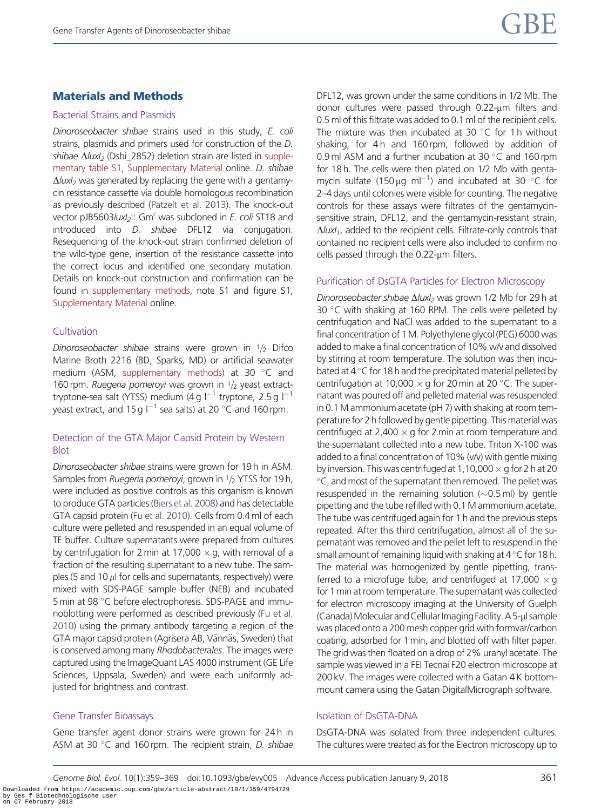## Materials and Methods

## Bacterial Strains and Plasmids

Dinoroseobacter shibae strains used in this study, E. coli strains, plasmids and primers used for construction of the D. shibae  $\Delta$ luxI<sub>2</sub> (Dshi\_2852) deletion strain are listed in [supple](https://academic.oup.com/gbe/article-lookup/doi/10.1093/gbe/evy005#supplementary-data)[mentary table S1](https://academic.oup.com/gbe/article-lookup/doi/10.1093/gbe/evy005#supplementary-data), [Supplementary Material](https://academic.oup.com/gbe/article-lookup/doi/10.1093/gbe/evy005#supplementary-data) online. D. shibae  $\Delta$ luxI<sub>2</sub> was generated by replacing the gene with a gentamycin resistance cassette via double homologous recombination as previously described [\(Patzelt et al. 2013](#page-10-0)). The knock-out vector pJB5603/ $ux/$ : Gm<sup>r</sup> was subcloned in E. coli ST18 and introduced into D. shibae DFL12 via conjugation. Resequencing of the knock-out strain confirmed deletion of the wild-type gene, insertion of the resistance cassette into the correct locus and identified one secondary mutation. Details on knock-out construction and confirmation can be found in [supplementary methods](https://academic.oup.com/gbe/article-lookup/doi/10.1093/gbe/evy005#supplementary-data), note S1 and figure S1, [Supplementary Material](https://academic.oup.com/gbe/article-lookup/doi/10.1093/gbe/evy005#supplementary-data) online.

#### **Cultivation**

Dinoroseobacter shibae strains were grown in  $1/2$  Difco Marine Broth 2216 (BD, Sparks, MD) or artificial seawater medium (ASM, [supplementary methods](https://academic.oup.com/gbe/article-lookup/doi/10.1093/gbe/evy005#supplementary-data)) at 30 °C and 160 rpm. Ruegeria pomeroyi was grown in  $1/2$  yeast extracttryptone-sea salt (YTSS) medium  $(4 q)^{-1}$  tryptone, 2.5 g  $I^{-1}$ yeast extract, and 15 g  $\mathsf{I}^{-1}$  sea salts) at 20 °C and 160 rpm.

## Detection of the GTA Major Capsid Protein by Western Blot

Dinoroseobacter shibae strains were grown for 19 h in ASM. Samples from Ruegeria pomeroyi, grown in  $1/2$  YTSS for 19 h, were included as positive controls as this organism is known to produce GTA particles ([Biers et al. 2008\)](#page-9-0) and has detectable GTA capsid protein ([Fu et al. 2010\)](#page-9-0). Cells from 0.4 ml of each culture were pelleted and resuspended in an equal volume of TE buffer. Culture supernatants were prepared from cultures by centrifugation for 2 min at 17,000  $\times$  g, with removal of a fraction of the resulting supernatant to a new tube. The samples (5 and 10  $\mu$  for cells and supernatants, respectively) were mixed with SDS-PAGE sample buffer (NEB) and incubated 5 min at 98 °C before electrophoresis. SDS-PAGE and immunoblotting were performed as described previously ([Fu et al.](#page-9-0) [2010](#page-9-0)) using the primary antibody targeting a region of the GTA major capsid protein (Agrisera AB, Vännäs, Sweden) that is conserved among many Rhodobacterales. The images were captured using the ImageQuant LAS 4000 instrument (GE Life Sciences, Uppsala, Sweden) and were each uniformly adjusted for brightness and contrast.

## Gene Transfer Bioassays

Gene transfer agent donor strains were grown for 24 h in ASM at 30 °C and 160 rpm. The recipient strain, D. shibae

DFL12, was grown under the same conditions in 1/2 Mb. The donor cultures were passed through 0.22-um filters and 0.5 ml of this filtrate was added to 0.1 ml of the recipient cells. The mixture was then incubated at 30  $^{\circ}$ C for 1 h without shaking, for 4 h and 160 rpm, followed by addition of 0.9 ml ASM and a further incubation at 30  $^{\circ}$ C and 160 rpm for 18 h. The cells were then plated on 1/2 Mb with gentamycin sulfate (150  $\mu$ g ml<sup>-1</sup>) and incubated at 30 °C for 2–4 days until colonies were visible for counting. The negative controls for these assays were filtrates of the gentamycinsensitive strain, DFL12, and the gentamycin-resistant strain,  $\Delta$ luxI<sub>1</sub>, added to the recipient cells. Filtrate-only controls that contained no recipient cells were also included to confirm no cells passed through the 0.22-um filters.

#### Purification of DsGTA Particles for Electron Microscopy

Dinoroseobacter shibae  $\Delta$ luxI<sub>2</sub> was grown 1/2 Mb for 29 h at 30 °C with shaking at 160 RPM. The cells were pelleted by centrifugation and NaCl was added to the supernatant to a final concentration of 1 M. Polyethylene glycol (PEG) 6000 was added to make a final concentration of 10% w/v and dissolved by stirring at room temperature. The solution was then incubated at 4 °C for 18 h and the precipitated material pelleted by centrifugation at 10,000  $\times$  g for 20 min at 20 °C. The supernatant was poured off and pelleted material was resuspended in 0.1 M ammonium acetate (pH 7) with shaking at room temperature for 2 h followed by gentle pipetting. This material was centrifuged at 2,400  $\times$  g for 2 min at room temperature and the supernatant collected into a new tube. Triton X-100 was added to a final concentration of 10% (v/v) with gentle mixing by inversion. This was centrifuged at 1,10,000  $\times$  g for 2 h at 20 <sup>o</sup>C, and most of the supernatant then removed. The pellet was resuspended in the remaining solution  $(\sim 0.5 \text{ ml})$  by gentle pipetting and the tube refilled with 0.1 M ammonium acetate. The tube was centrifuged again for 1 h and the previous steps repeated. After this third centrifugation, almost all of the supernatant was removed and the pellet left to resuspend in the small amount of remaining liquid with shaking at  $4^{\circ}$ C for 18 h. The material was homogenized by gentle pipetting, transferred to a microfuge tube, and centrifuged at 17,000  $\times$  g for 1 min at room temperature. The supernatant was collected for electron microscopy imaging at the University of Guelph (Canada) Molecular and Cellular Imaging Facility. A 5-µl sample was placed onto a 200 mesh copper grid with formvar/carbon coating, adsorbed for 1 min, and blotted off with filter paper. The grid was then floated on a drop of 2% uranyl acetate. The sample was viewed in a FEI Tecnai F20 electron microscope at 200 kV. The images were collected with a Gatan 4 K bottommount camera using the Gatan DigitalMicrograph software.

## Isolation of DsGTA-DNA

DsGTA-DNA was isolated from three independent cultures. The cultures were treated as for the Electron microscopy up to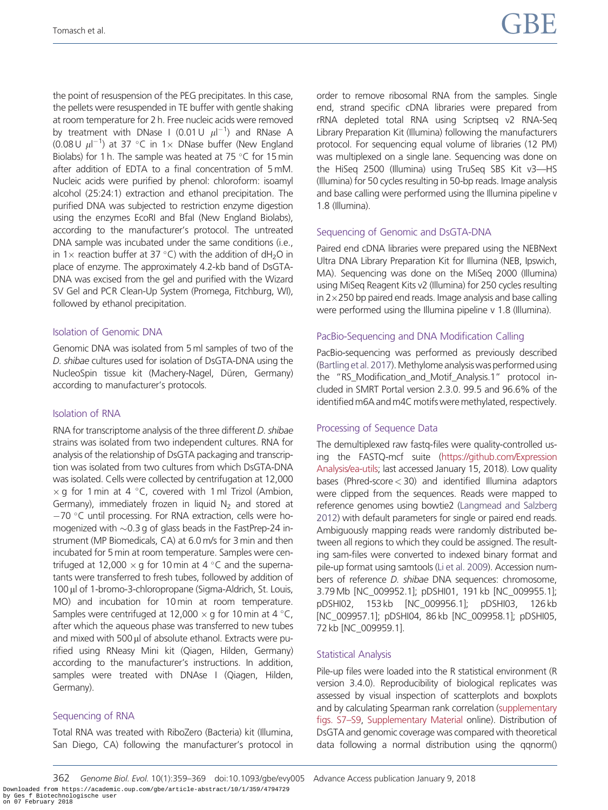the point of resuspension of the PEG precipitates. In this case, the pellets were resuspended in TE buffer with gentle shaking at room temperature for 2 h. Free nucleic acids were removed by treatment with DNase I (0.01 U  $\mu$ I<sup>-1</sup>) and RNase A (0.08 U  $\mu$ I $^{-1}$ ) at 37 °C in 1 $\times$  DNase buffer (New England Biolabs) for 1 h. The sample was heated at 75  $\degree$ C for 15 min after addition of EDTA to a final concentration of 5 mM. Nucleic acids were purified by phenol: chloroform: isoamyl alcohol (25:24:1) extraction and ethanol precipitation. The purified DNA was subjected to restriction enzyme digestion using the enzymes EcoRI and BfaI (New England Biolabs), according to the manufacturer's protocol. The untreated DNA sample was incubated under the same conditions (i.e., in 1 $\times$  reaction buffer at 37 °C) with the addition of dH<sub>2</sub>O in place of enzyme. The approximately 4.2-kb band of DsGTA-DNA was excised from the gel and purified with the Wizard SV Gel and PCR Clean-Up System (Promega, Fitchburg, WI), followed by ethanol precipitation.

## Isolation of Genomic DNA

Genomic DNA was isolated from 5 ml samples of two of the D. shibae cultures used for isolation of DsGTA-DNA using the NucleoSpin tissue kit (Machery-Nagel, Düren, Germany) according to manufacturer's protocols.

## Isolation of RNA

RNA for transcriptome analysis of the three different D. shibae strains was isolated from two independent cultures. RNA for analysis of the relationship of DsGTA packaging and transcription was isolated from two cultures from which DsGTA-DNA was isolated. Cells were collected by centrifugation at 12,000  $\times$  g for 1 min at 4 °C, covered with 1 ml Trizol (Ambion, Germany), immediately frozen in liquid  $N<sub>2</sub>$  and stored at  $-70$  °C until processing. For RNA extraction, cells were homogenized with  $\sim$ 0.3 g of glass beads in the FastPrep-24 instrument (MP Biomedicals, CA) at 6.0 m/s for 3 min and then incubated for 5 min at room temperature. Samples were centrifuged at 12,000  $\times$  g for 10 min at 4 °C and the supernatants were transferred to fresh tubes, followed by addition of 100 µl of 1-bromo-3-chloropropane (Sigma-Aldrich, St. Louis, MO) and incubation for 10 min at room temperature. Samples were centrifuged at 12,000  $\times$  g for 10 min at 4  $^{\circ}$ C, after which the aqueous phase was transferred to new tubes and mixed with 500 µl of absolute ethanol. Extracts were purified using RNeasy Mini kit (Qiagen, Hilden, Germany) according to the manufacturer's instructions. In addition, samples were treated with DNAse I (Qiagen, Hilden, Germany).

# Sequencing of RNA

Total RNA was treated with RiboZero (Bacteria) kit (Illumina, San Diego, CA) following the manufacturer's protocol in order to remove ribosomal RNA from the samples. Single end, strand specific cDNA libraries were prepared from rRNA depleted total RNA using Scriptseq v2 RNA-Seq Library Preparation Kit (Illumina) following the manufacturers protocol. For sequencing equal volume of libraries (12 PM) was multiplexed on a single lane. Sequencing was done on the HiSeq 2500 (Illumina) using TruSeq SBS Kit v3—HS (Illumina) for 50 cycles resulting in 50-bp reads. Image analysis and base calling were performed using the Illumina pipeline v 1.8 (Illumina).

# Sequencing of Genomic and DsGTA-DNA

Paired end cDNA libraries were prepared using the NEBNext Ultra DNA Library Preparation Kit for Illumina (NEB, Ipswich, MA). Sequencing was done on the MiSeq 2000 (Illumina) using MiSeq Reagent Kits v2 (Illumina) for 250 cycles resulting in  $2\times250$  bp paired end reads. Image analysis and base calling were performed using the Illumina pipeline v 1.8 (Illumina).

# PacBio-Sequencing and DNA Modification Calling

PacBio-sequencing was performed as previously described (Bartling et al. 2017). Methylome analysis was performed using the "RS\_Modification\_and\_Motif\_Analysis.1" protocol included in SMRT Portal version 2.3.0. 99.5 and 96.6% of the identified m6A and m4C motifs were methylated, respectively.

# Processing of Sequence Data

The demultiplexed raw fastq-files were quality-controlled using the FASTQ-mcf suite ([https://github.com/Expression](https://github.com/ExpressionAnalysis/ea-utils) [Analysis/ea-utils](https://github.com/ExpressionAnalysis/ea-utils); last accessed January 15, 2018). Low quality bases (Phred-score< 30) and identified Illumina adaptors were clipped from the sequences. Reads were mapped to reference genomes using bowtie2 ([Langmead and Salzberg](#page-10-0) [2012\)](#page-10-0) with default parameters for single or paired end reads. Ambiguously mapping reads were randomly distributed between all regions to which they could be assigned. The resulting sam-files were converted to indexed binary format and pile-up format using samtools [\(Li et al. 2009\)](#page-10-0). Accession numbers of reference D. shibae DNA sequences: chromosome, 3.79 Mb [NC\_009952.1]; pDSHI01, 191 kb [NC\_009955.1]; pDSHI02, 153 kb [NC\_009956.1]; pDSHI03, 126 kb [NC\_009957.1]; pDSHI04, 86 kb [NC\_009958.1]; pDSHI05, 72 kb [NC\_009959.1].

# Statistical Analysis

Pile-up files were loaded into the R statistical environment (R version 3.4.0). Reproducibility of biological replicates was assessed by visual inspection of scatterplots and boxplots and by calculating Spearman rank correlation ([supplementary](https://academic.oup.com/gbe/article-lookup/doi/10.1093/gbe/evy005#supplementary-data) [figs. S7–S9,](https://academic.oup.com/gbe/article-lookup/doi/10.1093/gbe/evy005#supplementary-data) [Supplementary Material](https://academic.oup.com/gbe/article-lookup/doi/10.1093/gbe/evy005#supplementary-data) online). Distribution of DsGTA and genomic coverage was compared with theoretical data following a normal distribution using the qqnorm()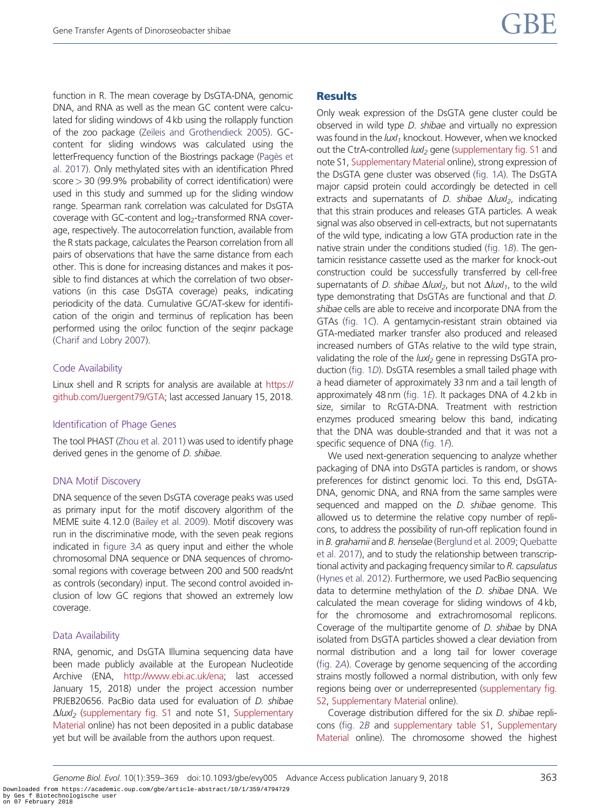function in R. The mean coverage by DsGTA-DNA, genomic DNA, and RNA as well as the mean GC content were calculated for sliding windows of 4 kb using the rollapply function of the zoo package [\(Zeileis and Grothendieck 2005](#page-10-0)). GCcontent for sliding windows was calculated using the letterFrequency function of the Biostrings package (Pages et [al. 2017](#page-10-0)). Only methylated sites with an identification Phred score  $>$  30 (99.9% probability of correct identification) were used in this study and summed up for the sliding window range. Spearman rank correlation was calculated for DsGTA coverage with GC-content and log<sub>2</sub>-transformed RNA coverage, respectively. The autocorrelation function, available from the R stats package, calculates the Pearson correlation from all pairs of observations that have the same distance from each other. This is done for increasing distances and makes it possible to find distances at which the correlation of two observations (in this case DsGTA coverage) peaks, indicating periodicity of the data. Cumulative GC/AT-skew for identification of the origin and terminus of replication has been performed using the oriloc function of the seqinr package [\(Charif and Lobry 2007](#page-9-0)).

## Code Availability

Linux shell and R scripts for analysis are available at [https://](https://github.com/Juergent79/GTA) [github.com/Juergent79/GTA](https://github.com/Juergent79/GTA); last accessed January 15, 2018.

## Identification of Phage Genes

The tool PHAST [\(Zhou et al. 2011](#page-10-0)) was used to identify phage derived genes in the genome of *D. shibae*.

## DNA Motif Discovery

DNA sequence of the seven DsGTA coverage peaks was used as primary input for the motif discovery algorithm of the MEME suite 4.12.0 ([Bailey et al. 2009](#page-9-0)). Motif discovery was run in the discriminative mode, with the seven peak regions indicated in [figure 3](#page-7-0)A as query input and either the whole chromosomal DNA sequence or DNA sequences of chromosomal regions with coverage between 200 and 500 reads/nt as controls (secondary) input. The second control avoided inclusion of low GC regions that showed an extremely low coverage.

## Data Availability

RNA, genomic, and DsGTA Illumina sequencing data have been made publicly available at the European Nucleotide Archive (ENA, <http://www.ebi.ac.uk/ena>; last accessed January 15, 2018) under the project accession number PRJEB20656. PacBio data used for evaluation of D. shibae  $\Delta$ luxI<sub>2</sub> [\(supplementary fig. S1](https://academic.oup.com/gbe/article-lookup/doi/10.1093/gbe/evy005#supplementary-data) and note S1, [Supplementary](https://academic.oup.com/gbe/article-lookup/doi/10.1093/gbe/evy005#supplementary-data) [Material](https://academic.oup.com/gbe/article-lookup/doi/10.1093/gbe/evy005#supplementary-data) online) has not been deposited in a public database yet but will be available from the authors upon request.

## **Results**

Only weak expression of the DsGTA gene cluster could be observed in wild type D. shibae and virtually no expression was found in the  $luxl_1$  knockout. However, when we knocked out the CtrA-controlled luxl<sub>2</sub> gene [\(supplementary fig. S1](https://academic.oup.com/gbe/article-lookup/doi/10.1093/gbe/evy005#supplementary-data) and note S1, [Supplementary Material](https://academic.oup.com/gbe/article-lookup/doi/10.1093/gbe/evy005#supplementary-data) online), strong expression of the DsGTA gene cluster was observed [\(fig. 1](#page-5-0)A). The DsGTA major capsid protein could accordingly be detected in cell extracts and supernatants of D. shibae  $\Delta$ luxI<sub>2</sub>, indicating that this strain produces and releases GTA particles. A weak signal was also observed in cell-extracts, but not supernatants of the wild type, indicating a low GTA production rate in the native strain under the conditions studied [\(fig. 1](#page-5-0)B). The gentamicin resistance cassette used as the marker for knock-out construction could be successfully transferred by cell-free supernatants of D. shibae  $\Delta$ luxI<sub>2</sub>, but not  $\Delta$ luxI<sub>1</sub>, to the wild type demonstrating that DsGTAs are functional and that D. shibae cells are able to receive and incorporate DNA from the GTAs [\(fig. 1](#page-5-0)C). A gentamycin-resistant strain obtained via GTA-mediated marker transfer also produced and released increased numbers of GTAs relative to the wild type strain, validating the role of the  $luxI<sub>2</sub>$  gene in repressing DsGTA production ([fig. 1](#page-5-0)D). DsGTA resembles a small tailed phage with a head diameter of approximately 33 nm and a tail length of approximately 48 nm [\(fig. 1](#page-5-0)E). It packages DNA of 4.2 kb in size, similar to RcGTA-DNA. Treatment with restriction enzymes produced smearing below this band, indicating that the DNA was double-stranded and that it was not a specific sequence of DNA [\(fig. 1](#page-5-0)F).

We used next-generation sequencing to analyze whether packaging of DNA into DsGTA particles is random, or shows preferences for distinct genomic loci. To this end, DsGTA-DNA, genomic DNA, and RNA from the same samples were sequenced and mapped on the *D. shibae* genome. This allowed us to determine the relative copy number of replicons, to address the possibility of run-off replication found in in B. grahamii and B. henselae [\(Berglund et al. 2009](#page-9-0); [Quebatte](#page-10-0) [et al. 2017](#page-10-0)), and to study the relationship between transcriptional activity and packaging frequency similar to R. capsulatus [\(Hynes et al. 2012\)](#page-10-0). Furthermore, we used PacBio sequencing data to determine methylation of the D. shibae DNA. We calculated the mean coverage for sliding windows of 4 kb, for the chromosome and extrachromosomal replicons. Coverage of the multipartite genome of D. shibae by DNA isolated from DsGTA particles showed a clear deviation from normal distribution and a long tail for lower coverage [\(fig. 2](#page-6-0)A). Coverage by genome sequencing of the according strains mostly followed a normal distribution, with only few regions being over or underrepresented [\(supplementary fig.](https://academic.oup.com/gbe/article-lookup/doi/10.1093/gbe/evy005#supplementary-data) [S2,](https://academic.oup.com/gbe/article-lookup/doi/10.1093/gbe/evy005#supplementary-data) [Supplementary Material](https://academic.oup.com/gbe/article-lookup/doi/10.1093/gbe/evy005#supplementary-data) online).

Coverage distribution differed for the six D. shibae replicons [\(fig. 2](#page-6-0)B and [supplementary table S1,](https://academic.oup.com/gbe/article-lookup/doi/10.1093/gbe/evy005#supplementary-data) [Supplementary](https://academic.oup.com/gbe/article-lookup/doi/10.1093/gbe/evy005#supplementary-data) [Material](https://academic.oup.com/gbe/article-lookup/doi/10.1093/gbe/evy005#supplementary-data) online). The chromosome showed the highest

Genome Biol. Evol. 10(1):359-369 doi:10.1093/gbe/evy005 Advance Access publication January 9, 2018 363 Downloaded from https://academic.oup.com/gbe/article-abstract/10/1/359/4794729 by Ges f Biotechnologische user on 07 February 2018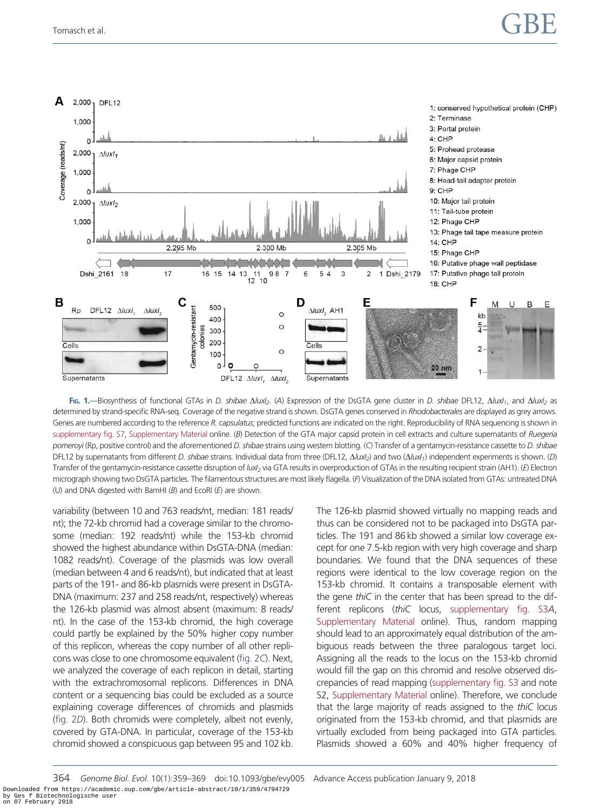<span id="page-5-0"></span>

FIG. 1.—Biosynthesis of functional GTAs in D. shibae  $\Delta l$ uxI<sub>2</sub>. (A) Expression of the DsGTA gene cluster in D. shibae DFL12,  $\Delta l$ uxI<sub>1</sub>, and  $\Delta l$ uxI<sub>2</sub> as determined by strand-specific RNA-seq. Coverage of the negative strand is shown. DsGTA genes conserved in Rhodobacterales are displayed as grey arrows. Genes are numbered according to the reference R. capsulatus; predicted functions are indicated on the right. Reproducibility of RNA sequencing is shown in [supplementary fig. S7](https://academic.oup.com/gbe/article-lookup/doi/10.1093/gbe/evy005#supplementary-data), [Supplementary Material](https://academic.oup.com/gbe/article-lookup/doi/10.1093/gbe/evy005#supplementary-data) online. (B) Detection of the GTA major capsid protein in cell extracts and culture supernatants of Ruegeria pomeroyi (Rp, positive control) and the aforementioned D. shibae strains using western blotting. (C) Transfer of a gentamycin-resistance cassette to D. shibae DFL12 by supernatants from different D. shibae strains. Individual data from three (DFL12,  $\Delta luxJ_2$ ) and two  $(\Delta luxJ_1)$  independent experiments is shown. (D) Transfer of the gentamycin-resistance cassette disruption of luxI<sub>2</sub> via GTA results in overproduction of GTAs in the resulting recipient strain (AH1). (E) Electron micrograph showing two DsGTA particles. The filamentous structures are most likely flagella. (F) Visualization of the DNA isolated from GTAs: untreated DNA (U) and DNA digested with BamHI  $(B)$  and EcoRI  $(E)$  are shown.

variability (between 10 and 763 reads/nt, median: 181 reads/ nt); the 72-kb chromid had a coverage similar to the chromosome (median: 192 reads/nt) while the 153-kb chromid showed the highest abundance within DsGTA-DNA (median: 1082 reads/nt). Coverage of the plasmids was low overall (median between 4 and 6 reads/nt), but indicated that at least parts of the 191- and 86-kb plasmids were present in DsGTA-DNA (maximum: 237 and 258 reads/nt, respectively) whereas the 126-kb plasmid was almost absent (maximum: 8 reads/ nt). In the case of the 153-kb chromid, the high coverage could partly be explained by the 50% higher copy number of this replicon, whereas the copy number of all other replicons was close to one chromosome equivalent ([fig. 2](#page-6-0)C). Next, we analyzed the coverage of each replicon in detail, starting with the extrachromosomal replicons. Differences in DNA content or a sequencing bias could be excluded as a source explaining coverage differences of chromids and plasmids [\(fig. 2](#page-6-0)D). Both chromids were completely, albeit not evenly, covered by GTA-DNA. In particular, coverage of the 153-kb chromid showed a conspicuous gap between 95 and 102 kb. The 126-kb plasmid showed virtually no mapping reads and thus can be considered not to be packaged into DsGTA particles. The 191 and 86 kb showed a similar low coverage except for one 7.5-kb region with very high coverage and sharp boundaries. We found that the DNA sequences of these regions were identical to the low coverage region on the 153-kb chromid. It contains a transposable element with the gene thiC in the center that has been spread to the different replicons (thiC locus, [supplementary fig. S3](https://academic.oup.com/gbe/article-lookup/doi/10.1093/gbe/evy005#supplementary-data)A, [Supplementary Material](https://academic.oup.com/gbe/article-lookup/doi/10.1093/gbe/evy005#supplementary-data) online). Thus, random mapping should lead to an approximately equal distribution of the ambiguous reads between the three paralogous target loci. Assigning all the reads to the locus on the 153-kb chromid would fill the gap on this chromid and resolve observed discrepancies of read mapping ([supplementary fig. S3](https://academic.oup.com/gbe/article-lookup/doi/10.1093/gbe/evy005#supplementary-data) and note S2, [Supplementary Material](https://academic.oup.com/gbe/article-lookup/doi/10.1093/gbe/evy005#supplementary-data) online). Therefore, we conclude that the large majority of reads assigned to the thiC locus originated from the 153-kb chromid, and that plasmids are virtually excluded from being packaged into GTA particles. Plasmids showed a 60% and 40% higher frequency of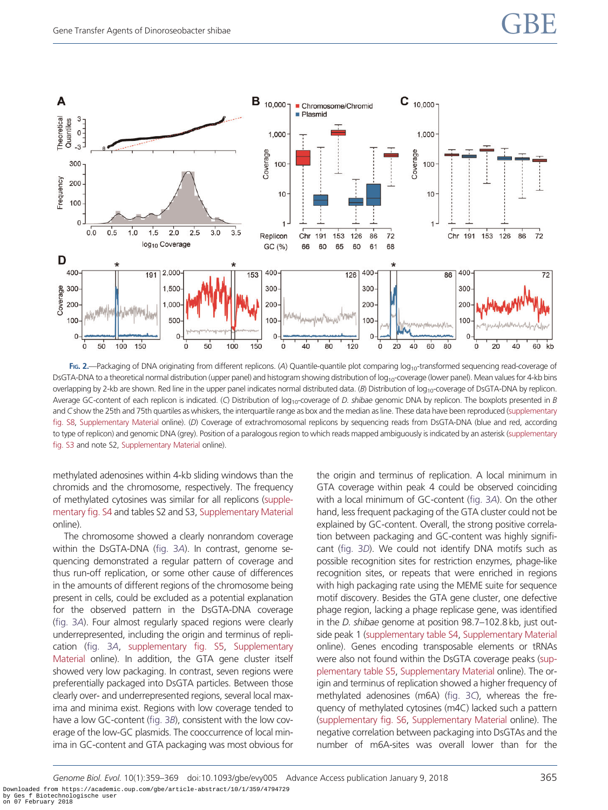<span id="page-6-0"></span>

FIG. 2.—Packaging of DNA originating from different replicons. (A) Quantile-quantile plot comparing log<sub>10</sub>-transformed sequencing read-coverage of DsGTA-DNA to a theoretical normal distribution (upper panel) and histogram showing distribution of log<sub>10</sub>-coverage (lower panel). Mean values for 4-kb bins overlapping by 2-kb are shown. Red line in the upper panel indicates normal distributed data. (B) Distribution of  $log_{10}$ -coverage of DsGTA-DNA by replicon. Average GC-content of each replicon is indicated. (C) Distribution of log<sub>10</sub>-coverage of D. shibae genomic DNA by replicon. The boxplots presented in B and C show the 25th and 75th quartiles as whiskers, the interquartile range as box and the median as line. These data have been reproduced [\(supplementary](https://academic.oup.com/gbe/article-lookup/doi/10.1093/gbe/evy005#supplementary-data) [fig. S8](https://academic.oup.com/gbe/article-lookup/doi/10.1093/gbe/evy005#supplementary-data), [Supplementary Material](https://academic.oup.com/gbe/article-lookup/doi/10.1093/gbe/evy005#supplementary-data) online). (D) Coverage of extrachromosomal replicons by sequencing reads from DsGTA-DNA (blue and red, according to type of replicon) and genomic DNA (grey). Position of a paralogous region to which reads mapped ambiguously is indicated by an asterisk [\(supplementary](https://academic.oup.com/gbe/article-lookup/doi/10.1093/gbe/evy005#supplementary-data) [fig. S3](https://academic.oup.com/gbe/article-lookup/doi/10.1093/gbe/evy005#supplementary-data) and note S2, [Supplementary Material](https://academic.oup.com/gbe/article-lookup/doi/10.1093/gbe/evy005#supplementary-data) online).

methylated adenosines within 4-kb sliding windows than the chromids and the chromosome, respectively. The frequency of methylated cytosines was similar for all replicons [\(supple](https://academic.oup.com/gbe/article-lookup/doi/10.1093/gbe/evy005#supplementary-data)[mentary fig. S4](https://academic.oup.com/gbe/article-lookup/doi/10.1093/gbe/evy005#supplementary-data) and tables S2 and S3, [Supplementary Material](https://academic.oup.com/gbe/article-lookup/doi/10.1093/gbe/evy005#supplementary-data) online).

The chromosome showed a clearly nonrandom coverage within the DsGTA-DNA ([fig. 3](#page-7-0)A). In contrast, genome sequencing demonstrated a regular pattern of coverage and thus run-off replication, or some other cause of differences in the amounts of different regions of the chromosome being present in cells, could be excluded as a potential explanation for the observed pattern in the DsGTA-DNA coverage [\(fig. 3](#page-7-0)A). Four almost regularly spaced regions were clearly underrepresented, including the origin and terminus of replication [\(fig. 3](#page-7-0)A, [supplementary fig. S5](https://academic.oup.com/gbe/article-lookup/doi/10.1093/gbe/evy005#supplementary-data), [Supplementary](https://academic.oup.com/gbe/article-lookup/doi/10.1093/gbe/evy005#supplementary-data) [Material](https://academic.oup.com/gbe/article-lookup/doi/10.1093/gbe/evy005#supplementary-data) online). In addition, the GTA gene cluster itself showed very low packaging. In contrast, seven regions were preferentially packaged into DsGTA particles. Between those clearly over- and underrepresented regions, several local maxima and minima exist. Regions with low coverage tended to have a low GC-content [\(fig. 3](#page-7-0)*B*), consistent with the low coverage of the low-GC plasmids. The cooccurrence of local minima in GC-content and GTA packaging was most obvious for the origin and terminus of replication. A local minimum in GTA coverage within peak 4 could be observed coinciding with a local minimum of GC-content [\(fig. 3](#page-7-0)A). On the other hand, less frequent packaging of the GTA cluster could not be explained by GC-content. Overall, the strong positive correlation between packaging and GC-content was highly significant ([fig. 3](#page-7-0)D). We could not identify DNA motifs such as possible recognition sites for restriction enzymes, phage-like recognition sites, or repeats that were enriched in regions with high packaging rate using the MEME suite for sequence motif discovery. Besides the GTA gene cluster, one defective phage region, lacking a phage replicase gene, was identified in the D. shibae genome at position 98.7–102.8 kb, just outside peak 1 ([supplementary table S4,](https://academic.oup.com/gbe/article-lookup/doi/10.1093/gbe/evy005#supplementary-data) [Supplementary Material](https://academic.oup.com/gbe/article-lookup/doi/10.1093/gbe/evy005#supplementary-data) online). Genes encoding transposable elements or tRNAs were also not found within the DsGTA coverage peaks [\(sup](https://academic.oup.com/gbe/article-lookup/doi/10.1093/gbe/evy005#supplementary-data)[plementary table S5](https://academic.oup.com/gbe/article-lookup/doi/10.1093/gbe/evy005#supplementary-data), [Supplementary Material](https://academic.oup.com/gbe/article-lookup/doi/10.1093/gbe/evy005#supplementary-data) online). The origin and terminus of replication showed a higher frequency of methylated adenosines (m6A) [\(fig. 3](#page-7-0)C), whereas the frequency of methylated cytosines (m4C) lacked such a pattern [\(supplementary fig. S6](https://academic.oup.com/gbe/article-lookup/doi/10.1093/gbe/evy005#supplementary-data), [Supplementary Material](https://academic.oup.com/gbe/article-lookup/doi/10.1093/gbe/evy005#supplementary-data) online). The negative correlation between packaging into DsGTAs and the number of m6A-sites was overall lower than for the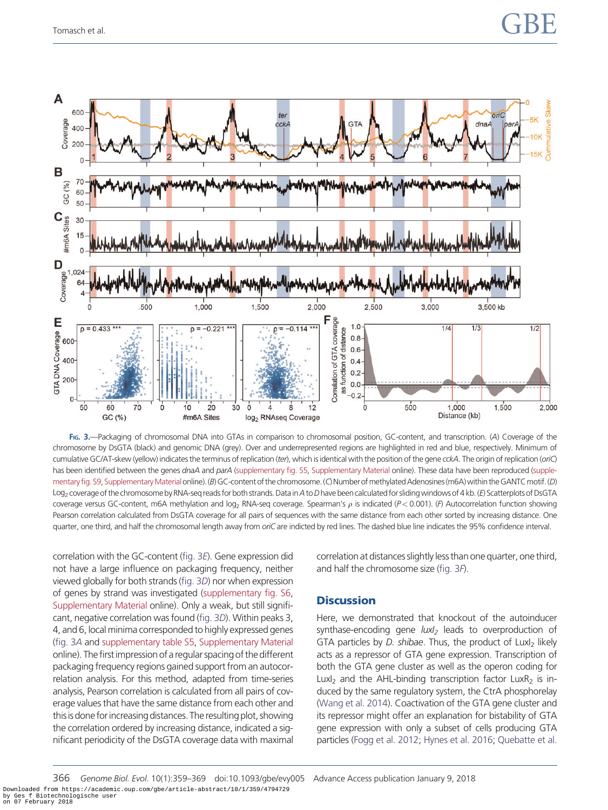<span id="page-7-0"></span>

FIG. 3.—Packaging of chromosomal DNA into GTAs in comparison to chromosomal position, GC-content, and transcription. (A) Coverage of the chromosome by DsGTA (black) and genomic DNA (grey). Over and underrepresented regions are highlighted in red and blue, respectively. Minimum of cumulative GC/AT-skew (yellow) indicates the terminus of replication (ter), which is identical with the position of the gene cckA. The origin of replication (oriC) has been identified between the genes dnaA and parA [\(supplementary fig. S5](https://academic.oup.com/gbe/article-lookup/doi/10.1093/gbe/evy005#supplementary-data), [Supplementary Material](https://academic.oup.com/gbe/article-lookup/doi/10.1093/gbe/evy005#supplementary-data) online). These data have been reproduced [\(supple](https://academic.oup.com/gbe/article-lookup/doi/10.1093/gbe/evy005#supplementary-data)mentary fig. S9, Supplementary Material online). (B) GC-content of the chromosome. (C) Number of methylated Adenosines (m6A) within the GANTC motif. (D) Log<sub>2</sub> coverage of the chromosome by RNA-seq reads for both strands. Data in A to D have been calculated for sliding windows of 4 kb. (E) Scatterplots of DsGTA coverage versus GC-content, m6A methylation and log<sub>2</sub> RNA-seq coverage. Spearman's  $\rho$  is indicated (P<0.001). (F) Autocorrelation function showing Pearson correlation calculated from DsGTA coverage for all pairs of sequences with the same distance from each other sorted by increasing distance. One quarter, one third, and half the chromosomal length away from oriC are indicted by red lines. The dashed blue line indicates the 95% confidence interval.

correlation with the GC-content (fig. 3E). Gene expression did not have a large influence on packaging frequency, neither viewed globally for both strands (fig. 3D) nor when expression of genes by strand was investigated [\(supplementary fig. S6,](https://academic.oup.com/gbe/article-lookup/doi/10.1093/gbe/evy005#supplementary-data) [Supplementary Material](https://academic.oup.com/gbe/article-lookup/doi/10.1093/gbe/evy005#supplementary-data) online). Only a weak, but still significant, negative correlation was found (fig. 3D). Within peaks 3, 4, and 6, local minima corresponded to highly expressed genes (fig. 3A and [supplementary table S5](https://academic.oup.com/gbe/article-lookup/doi/10.1093/gbe/evy005#supplementary-data), [Supplementary Material](https://academic.oup.com/gbe/article-lookup/doi/10.1093/gbe/evy005#supplementary-data) online). The first impression of a regular spacing of the different packaging frequency regions gained support from an autocorrelation analysis. For this method, adapted from time-series analysis, Pearson correlation is calculated from all pairs of coverage values that have the same distance from each other and this is done for increasing distances. The resulting plot, showing the correlation ordered by increasing distance, indicated a significant periodicity of the DsGTA coverage data with maximal correlation at distances slightly less than one quarter, one third, and half the chromosome size (fig. 3F).

# **Discussion**

Here, we demonstrated that knockout of the autoinducer synthase-encoding gene  $luxI_2$  leads to overproduction of GTA particles by  $D$ . shibae. Thus, the product of LuxI<sub>2</sub> likely acts as a repressor of GTA gene expression. Transcription of both the GTA gene cluster as well as the operon coding for LuxI<sub>2</sub> and the AHL-binding transcription factor LuxR<sub>2</sub> is induced by the same regulatory system, the CtrA phosphorelay [\(Wang et al. 2014\)](#page-10-0). Coactivation of the GTA gene cluster and its repressor might offer an explanation for bistability of GTA gene expression with only a subset of cells producing GTA particles ([Fogg et al. 2012](#page-9-0); [Hynes et al. 2016;](#page-10-0) [Quebatte et al.](#page-10-0)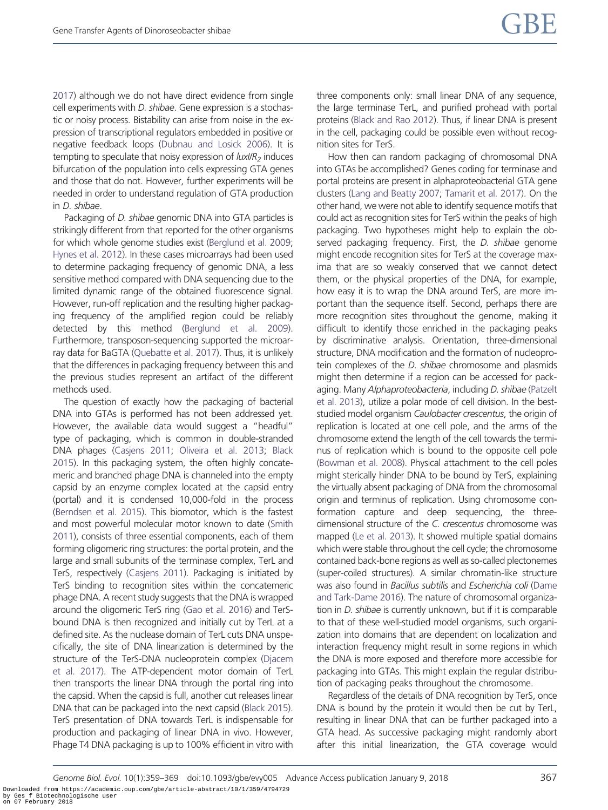[2017](#page-10-0)) although we do not have direct evidence from single cell experiments with D. shibae. Gene expression is a stochastic or noisy process. Bistability can arise from noise in the expression of transcriptional regulators embedded in positive or negative feedback loops [\(Dubnau and Losick 2006\)](#page-9-0). It is tempting to speculate that noisy expression of  $luxl/R<sub>2</sub>$  induces bifurcation of the population into cells expressing GTA genes and those that do not. However, further experiments will be needed in order to understand regulation of GTA production in D. shibae.

Packaging of D. shibae genomic DNA into GTA particles is strikingly different from that reported for the other organisms for which whole genome studies exist [\(Berglund et al. 2009;](#page-9-0) [Hynes et al. 2012\)](#page-10-0). In these cases microarrays had been used to determine packaging frequency of genomic DNA, a less sensitive method compared with DNA sequencing due to the limited dynamic range of the obtained fluorescence signal. However, run-off replication and the resulting higher packaging frequency of the amplified region could be reliably detected by this method [\(Berglund et al. 2009](#page-9-0)). Furthermore, transposon-sequencing supported the microarray data for BaGTA [\(Quebatte et al. 2017](#page-10-0)). Thus, it is unlikely that the differences in packaging frequency between this and the previous studies represent an artifact of the different methods used.

The question of exactly how the packaging of bacterial DNA into GTAs is performed has not been addressed yet. However, the available data would suggest a "headful" type of packaging, which is common in double-stranded DNA phages [\(Casjens 2011;](#page-9-0) [Oliveira et al. 2013;](#page-10-0) [Black](#page-9-0) [2015\)](#page-9-0). In this packaging system, the often highly concatemeric and branched phage DNA is channeled into the empty capsid by an enzyme complex located at the capsid entry (portal) and it is condensed 10,000-fold in the process [\(Berndsen et al. 2015\)](#page-9-0). This biomotor, which is the fastest and most powerful molecular motor known to date [\(Smith](#page-10-0) [2011\)](#page-10-0), consists of three essential components, each of them forming oligomeric ring structures: the portal protein, and the large and small subunits of the terminase complex, TerL and TerS, respectively [\(Casjens 2011](#page-9-0)). Packaging is initiated by TerS binding to recognition sites within the concatemeric phage DNA. A recent study suggests that the DNA is wrapped around the oligomeric TerS ring [\(Gao et al. 2016](#page-9-0)) and TerSbound DNA is then recognized and initially cut by TerL at a defined site. As the nuclease domain of TerL cuts DNA unspecifically, the site of DNA linearization is determined by the structure of the TerS-DNA nucleoprotein complex [\(Djacem](#page-9-0) [et al. 2017](#page-9-0)). The ATP-dependent motor domain of TerL then transports the linear DNA through the portal ring into the capsid. When the capsid is full, another cut releases linear DNA that can be packaged into the next capsid [\(Black 2015](#page-9-0)). TerS presentation of DNA towards TerL is indispensable for production and packaging of linear DNA in vivo. However, Phage T4 DNA packaging is up to 100% efficient in vitro with three components only: small linear DNA of any sequence, the large terminase TerL, and purified prohead with portal proteins ([Black and Rao 2012\)](#page-9-0). Thus, if linear DNA is present in the cell, packaging could be possible even without recognition sites for TerS.

How then can random packaging of chromosomal DNA into GTAs be accomplished? Genes coding for terminase and portal proteins are present in alphaproteobacterial GTA gene clusters [\(Lang and Beatty 2007;](#page-10-0) [Tamarit et al. 2017\)](#page-10-0). On the other hand, we were not able to identify sequence motifs that could act as recognition sites for TerS within the peaks of high packaging. Two hypotheses might help to explain the observed packaging frequency. First, the *D. shibae* genome might encode recognition sites for TerS at the coverage maxima that are so weakly conserved that we cannot detect them, or the physical properties of the DNA, for example, how easy it is to wrap the DNA around TerS, are more important than the sequence itself. Second, perhaps there are more recognition sites throughout the genome, making it difficult to identify those enriched in the packaging peaks by discriminative analysis. Orientation, three-dimensional structure, DNA modification and the formation of nucleoprotein complexes of the D. shibae chromosome and plasmids might then determine if a region can be accessed for packaging. Many Alphaproteobacteria, including D. shibae [\(Patzelt](#page-10-0) [et al. 2013\)](#page-10-0), utilize a polar mode of cell division. In the beststudied model organism Caulobacter crescentus, the origin of replication is located at one cell pole, and the arms of the chromosome extend the length of the cell towards the terminus of replication which is bound to the opposite cell pole [\(Bowman et al. 2008](#page-9-0)). Physical attachment to the cell poles might sterically hinder DNA to be bound by TerS, explaining the virtually absent packaging of DNA from the chromosomal origin and terminus of replication. Using chromosome conformation capture and deep sequencing, the threedimensional structure of the C. crescentus chromosome was mapped [\(Le et al. 2013](#page-10-0)). It showed multiple spatial domains which were stable throughout the cell cycle; the chromosome contained back-bone regions as well as so-called plectonemes (super-coiled structures). A similar chromatin-like structure was also found in Bacillus subtilis and Escherichia coli ([Dame](#page-9-0) [and Tark-Dame 2016\)](#page-9-0). The nature of chromosomal organization in D. shibae is currently unknown, but if it is comparable to that of these well-studied model organisms, such organization into domains that are dependent on localization and interaction frequency might result in some regions in which the DNA is more exposed and therefore more accessible for packaging into GTAs. This might explain the regular distribution of packaging peaks throughout the chromosome.

Regardless of the details of DNA recognition by TerS, once DNA is bound by the protein it would then be cut by TerL, resulting in linear DNA that can be further packaged into a GTA head. As successive packaging might randomly abort after this initial linearization, the GTA coverage would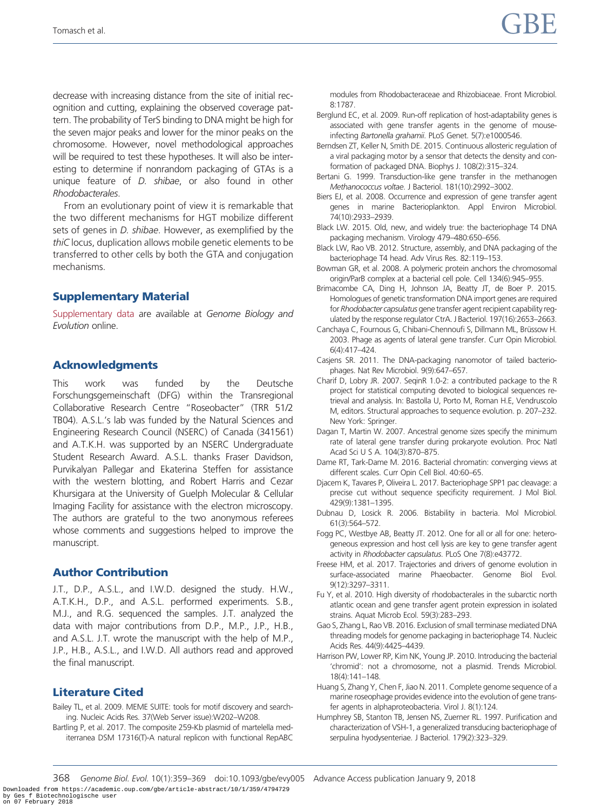<span id="page-9-0"></span>Tomasch et al.  $\text{GBE}$ 

decrease with increasing distance from the site of initial recognition and cutting, explaining the observed coverage pattern. The probability of TerS binding to DNA might be high for the seven major peaks and lower for the minor peaks on the chromosome. However, novel methodological approaches will be required to test these hypotheses. It will also be interesting to determine if nonrandom packaging of GTAs is a unique feature of D. shibae, or also found in other Rhodobacterales.

From an evolutionary point of view it is remarkable that the two different mechanisms for HGT mobilize different sets of genes in *D. shibae*. However, as exemplified by the thiC locus, duplication allows mobile genetic elements to be transferred to other cells by both the GTA and conjugation mechanisms.

## Supplementary Material

[Supplementary data](https://academic.oup.com/gbe/article-lookup/doi/10.1093/gbe/evy005#supplementary-data) are available at Genome Biology and Evolution online.

## Acknowledgments

This work was funded by the Deutsche Forschungsgemeinschaft (DFG) within the Transregional Collaborative Research Centre "Roseobacter" (TRR 51/2 TB04). A.S.L.'s lab was funded by the Natural Sciences and Engineering Research Council (NSERC) of Canada (341561) and A.T.K.H. was supported by an NSERC Undergraduate Student Research Award. A.S.L. thanks Fraser Davidson, Purvikalyan Pallegar and Ekaterina Steffen for assistance with the western blotting, and Robert Harris and Cezar Khursigara at the University of Guelph Molecular & Cellular Imaging Facility for assistance with the electron microscopy. The authors are grateful to the two anonymous referees whose comments and suggestions helped to improve the manuscript.

## Author Contribution

J.T., D.P., A.S.L., and I.W.D. designed the study. H.W., A.T.K.H., D.P., and A.S.L. performed experiments. S.B., M.J., and R.G. sequenced the samples. J.T. analyzed the data with major contributions from D.P., M.P., J.P., H.B., and A.S.L. J.T. wrote the manuscript with the help of M.P., J.P., H.B., A.S.L., and I.W.D. All authors read and approved the final manuscript.

#### Literature Cited

Bailey TL, et al. 2009. MEME SUITE: tools for motif discovery and searching. Nucleic Acids Res. 37(Web Server issue):W202–W208.

Bartling P, et al. 2017. The composite 259-Kb plasmid of martelella mediterranea DSM 17316(T)-A natural replicon with functional RepABC modules from Rhodobacteraceae and Rhizobiaceae. Front Microbiol. 8:1787.

- Berglund EC, et al. 2009. Run-off replication of host-adaptability genes is associated with gene transfer agents in the genome of mouseinfecting Bartonella grahamii. PLoS Genet. 5(7):e1000546.
- Berndsen ZT, Keller N, Smith DE. 2015. Continuous allosteric regulation of a viral packaging motor by a sensor that detects the density and conformation of packaged DNA. Biophys J. 108(2):315–324.
- Bertani G. 1999. Transduction-like gene transfer in the methanogen Methanococcus voltae. J Bacteriol. 181(10):2992–3002.
- Biers EJ, et al. 2008. Occurrence and expression of gene transfer agent genes in marine Bacterioplankton. Appl Environ Microbiol. 74(10):2933–2939.
- Black LW. 2015. Old, new, and widely true: the bacteriophage T4 DNA packaging mechanism. Virology 479–480:650–656.
- Black LW, Rao VB. 2012. Structure, assembly, and DNA packaging of the bacteriophage T4 head. Adv Virus Res. 82:119–153.
- Bowman GR, et al. 2008. A polymeric protein anchors the chromosomal origin/ParB complex at a bacterial cell pole. Cell 134(6):945–955.
- Brimacombe CA, Ding H, Johnson JA, Beatty JT, de Boer P. 2015. Homologues of genetic transformation DNA import genes are required for Rhodobacter capsulatus gene transfer agent recipient capability regulated by the response regulator CtrA. J Bacteriol. 197(16):2653–2663.
- Canchaya C, Fournous G, Chibani-Chennoufi S, Dillmann ML, Brüssow H. 2003. Phage as agents of lateral gene transfer. Curr Opin Microbiol. 6(4):417–424.
- Casjens SR. 2011. The DNA-packaging nanomotor of tailed bacteriophages. Nat Rev Microbiol. 9(9):647–657.
- Charif D, Lobry JR. 2007. SeqinR 1.0-2: a contributed package to the R project for statistical computing devoted to biological sequences retrieval and analysis. In: Bastolla U, Porto M, Roman H.E, Vendruscolo M, editors. Structural approaches to sequence evolution. p. 207–232. New York: Springer.
- Dagan T, Martin W. 2007. Ancestral genome sizes specify the minimum rate of lateral gene transfer during prokaryote evolution. Proc Natl Acad Sci U S A. 104(3):870–875.
- Dame RT, Tark-Dame M. 2016. Bacterial chromatin: converging views at different scales. Curr Opin Cell Biol. 40:60–65.
- Djacem K, Tavares P, Oliveira L. 2017. Bacteriophage SPP1 pac cleavage: a precise cut without sequence specificity requirement. J Mol Biol. 429(9):1381–1395.
- Dubnau D, Losick R. 2006. Bistability in bacteria. Mol Microbiol. 61(3):564–572.
- Fogg PC, Westbye AB, Beatty JT. 2012. One for all or all for one: heterogeneous expression and host cell lysis are key to gene transfer agent activity in Rhodobacter capsulatus. PLoS One 7(8):e43772.
- Freese HM, et al. 2017. Trajectories and drivers of genome evolution in surface-associated marine Phaeobacter. Genome Biol Evol. 9(12):3297–3311.
- Fu Y, et al. 2010. High diversity of rhodobacterales in the subarctic north atlantic ocean and gene transfer agent protein expression in isolated strains. Aquat Microb Ecol. 59(3):283–293.
- Gao S, Zhang L, Rao VB. 2016. Exclusion of small terminase mediated DNA threading models for genome packaging in bacteriophage T4. Nucleic Acids Res. 44(9):4425–4439.
- Harrison PW, Lower RP, Kim NK, Young JP. 2010. Introducing the bacterial 'chromid': not a chromosome, not a plasmid. Trends Microbiol. 18(4):141–148.
- Huang S, Zhang Y, Chen F, Jiao N. 2011. Complete genome sequence of a marine roseophage provides evidence into the evolution of gene transfer agents in alphaproteobacteria. Virol J. 8(1):124.
- Humphrey SB, Stanton TB, Jensen NS, Zuerner RL. 1997. Purification and characterization of VSH-1, a generalized transducing bacteriophage of serpulina hyodysenteriae. J Bacteriol. 179(2):323–329.